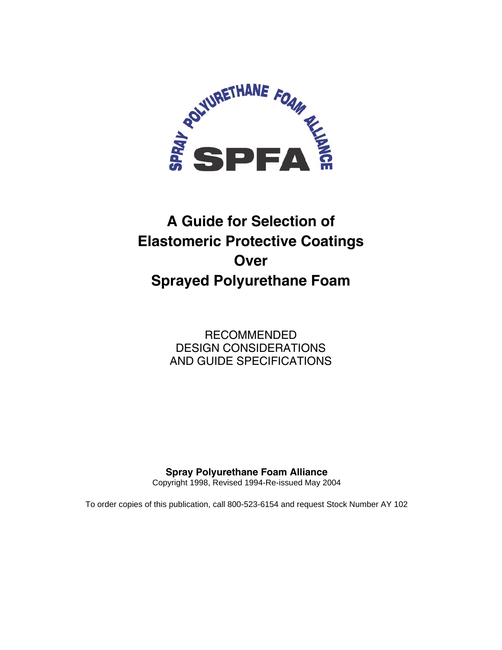

# **A Guide for Selection of Elastomeric Protective Coatings Over Sprayed Polyurethane Foam**

RECOMMENDED DESIGN CONSIDERATIONS AND GUIDE SPECIFICATIONS

## **Spray Polyurethane Foam Alliance**

Copyright 1998, Revised 1994-Re-issued May 2004

To order copies of this publication, call 800-523-6154 and request Stock Number AY 102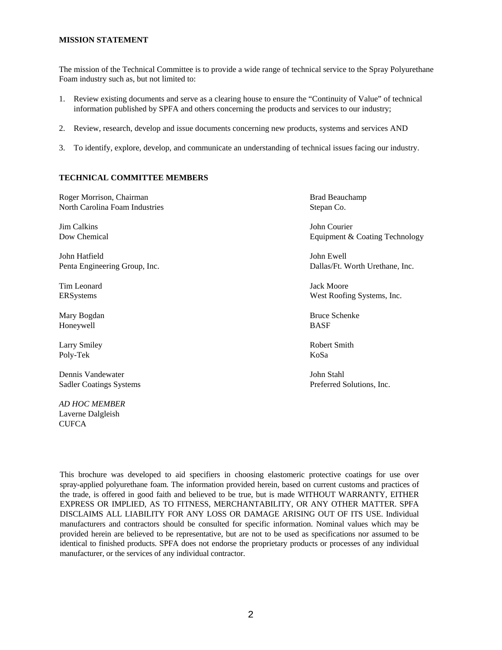#### **MISSION STATEMENT**

The mission of the Technical Committee is to provide a wide range of technical service to the Spray Polyurethane Foam industry such as, but not limited to:

- 1. Review existing documents and serve as a clearing house to ensure the "Continuity of Value" of technical information published by SPFA and others concerning the products and services to our industry;
- 2. Review, research, develop and issue documents concerning new products, systems and services AND
- 3. To identify, explore, develop, and communicate an understanding of technical issues facing our industry.

#### **TECHNICAL COMMITTEE MEMBERS**

Roger Morrison, Chairman Brad Beauchamp Brad Beauchamp North Carolina Foam Industries Stepan Co.

Jim Calkins John Courier

John Hatfield John Ewell

Tim Leonard Jack Moore

Honeywell BASF

Poly-Tek KoSa

Dennis Vandewater John Stahl Sadler Coatings Systems Preferred Solutions, Inc.

*AD HOC MEMBER*  Laverne Dalgleish **CUFCA** 

Dow Chemical Equipment & Coating Technology

Penta Engineering Group, Inc. Dallas/Ft. Worth Urethane, Inc.

ERSystems West Roofing Systems, Inc.

Mary Bogdan Bruce Schenke Bruce Schenke Bruce Schenke Bruce Schenke Bruce Schenke

Larry Smiley **Robert Smith** Robert Smith

This brochure was developed to aid specifiers in choosing elastomeric protective coatings for use over spray-applied polyurethane foam. The information provided herein, based on current customs and practices of the trade, is offered in good faith and believed to be true, but is made WITHOUT WARRANTY, EITHER EXPRESS OR IMPLIED, AS TO FITNESS, MERCHANTABILITY, OR ANY OTHER MATTER. SPFA DISCLAIMS ALL LIABILITY FOR ANY LOSS OR DAMAGE ARISING OUT OF ITS USE. Individual manufacturers and contractors should be consulted for specific information. Nominal values which may be provided herein are believed to be representative, but are not to be used as specifications nor assumed to be identical to finished products. SPFA does not endorse the proprietary products or processes of any individual manufacturer, or the services of any individual contractor.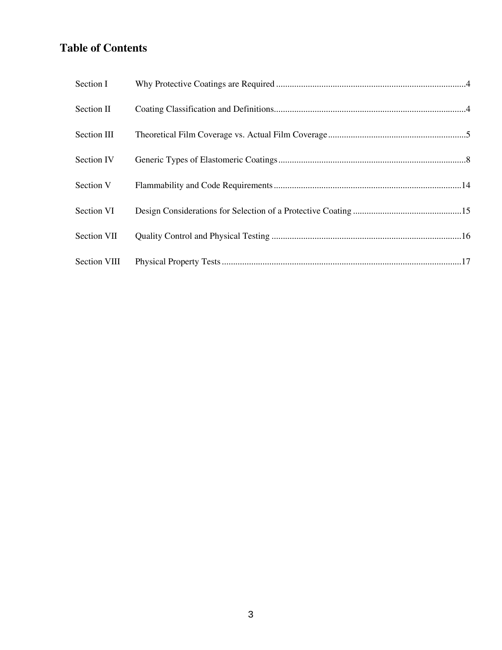## **Table of Contents**

| Section I           |  |
|---------------------|--|
| Section II          |  |
| Section III         |  |
| Section IV          |  |
| Section V           |  |
| Section VI          |  |
| Section VII         |  |
| <b>Section VIII</b> |  |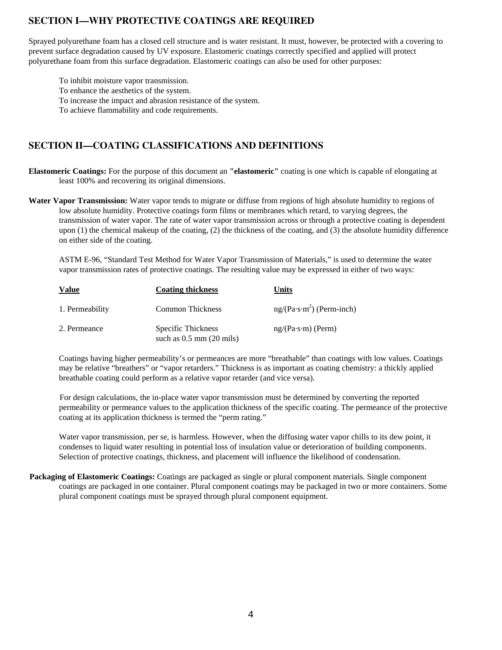## **SECTION I—WHY PROTECTIVE COATINGS ARE REQUIRED**

Sprayed polyurethane foam has a closed cell structure and is water resistant. It must, however, be protected with a covering to prevent surface degradation caused by UV exposure. Elastomeric coatings correctly specified and applied will protect polyurethane foam from this surface degradation. Elastomeric coatings can also be used for other purposes:

To inhibit moisture vapor transmission. To enhance the aesthetics of the system. To increase the impact and abrasion resistance of the system. To achieve flammability and code requirements.

## **SECTION II—COATING CLASSIFICATIONS AND DEFINITIONS**

**Elastomeric Coatings:** For the purpose of this document an **"elastomeric"** coating is one which is capable of elongating at least 100% and recovering its original dimensions.

**Water Vapor Transmission:** Water vapor tends to migrate or diffuse from regions of high absolute humidity to regions of low absolute humidity. Protective coatings form films or membranes which retard, to varying degrees, the transmission of water vapor. The rate of water vapor transmission across or through a protective coating is dependent upon (1) the chemical makeup of the coating, (2) the thickness of the coating, and (3) the absolute humidity difference on either side of the coating.

 ASTM E-96, "Standard Test Method for Water Vapor Transmission of Materials," is used to determine the water vapor transmission rates of protective coatings. The resulting value may be expressed in either of two ways:

| <b>Value</b>    | <b>Coating thickness</b>                           | Units                      |
|-----------------|----------------------------------------------------|----------------------------|
| 1. Permeability | <b>Common Thickness</b>                            | $ng/(Pa·s·m2)$ (Perm-inch) |
| 2. Permeance    | Specific Thickness<br>such as $0.5$ mm $(20$ mils) | $ng/(Pa·s·m)$ (Perm)       |

Coatings having higher permeability's or permeances are more "breathable" than coatings with low values. Coatings may be relative "breathers" or "vapor retarders." Thickness is as important as coating chemistry: a thickly applied breathable coating could perform as a relative vapor retarder (and vice versa).

 For design calculations, the in-place water vapor transmission must be determined by converting the reported permeability or permeance values to the application thickness of the specific coating. The permeance of the protective coating at its application thickness is termed the "perm rating."

Water vapor transmission, per se, is harmless. However, when the diffusing water vapor chills to its dew point, it condenses to liquid water resulting in potential loss of insulation value or deterioration of building components. Selection of protective coatings, thickness, and placement will influence the likelihood of condensation.

**Packaging of Elastomeric Coatings:** Coatings are packaged as single or plural component materials. Single component coatings are packaged in one container. Plural component coatings may be packaged in two or more containers. Some plural component coatings must be sprayed through plural component equipment.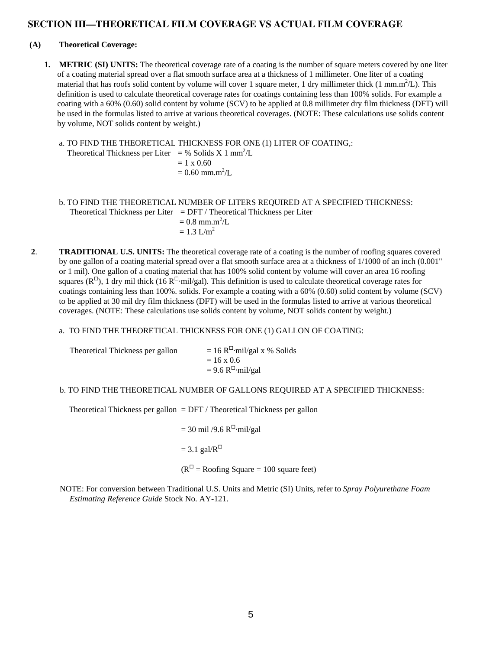## **SECTION III—THEORETICAL FILM COVERAGE VS ACTUAL FILM COVERAGE**

#### **(A) Theoretical Coverage:**

- **1. METRIC (SI) UNITS:** The theoretical coverage rate of a coating is the number of square meters covered by one liter of a coating material spread over a flat smooth surface area at a thickness of 1 millimeter. One liter of a coating material that has roofs solid content by volume will cover 1 square meter, 1 dry millimeter thick (1 mm.m<sup>2</sup>/L). This definition is used to calculate theoretical coverage rates for coatings containing less than 100% solids. For example a coating with a 60% (0.60) solid content by volume (SCV) to be applied at 0.8 millimeter dry film thickness (DFT) will be used in the formulas listed to arrive at various theoretical coverages. (NOTE: These calculations use solids content by volume, NOT solids content by weight.)
	- a. TO FIND THE THEORETICAL THICKNESS FOR ONE (1) LITER OF COATING,:

Theoretical Thickness per Liter = % Solids X 1 mm<sup>2</sup>/L  $= 1 \times 0.60$ 

 $= 0.60$  mm.m<sup>2</sup>/L

- b. TO FIND THE THEORETICAL NUMBER OF LITERS REQUIRED AT A SPECIFIED THICKNESS: Theoretical Thickness per Liter =  $\text{DFT}/\text{Theoretical Thickness per Liter}$  $= 0.8$  mm.m<sup>2</sup>/L  $= 1.3$  L/m<sup>2</sup>
- **2**. **TRADITIONAL U.S. UNITS:** The theoretical coverage rate of a coating is the number of roofing squares covered by one gallon of a coating material spread over a flat smooth surface area at a thickness of 1/1000 of an inch (0.001" or 1 mil). One gallon of a coating material that has 100% solid content by volume will cover an area 16 roofing squares ( $\mathbb{R}^{\square}$ ), 1 dry mil thick (16  $\mathbb{R}^{\square}$ ·mil/gal). This definition is used to calculate theoretical coverage rates for coatings containing less than 100%. solids. For example a coating with a 60% (0.60) solid content by volume (SCV) to be applied at 30 mil dry film thickness (DFT) will be used in the formulas listed to arrive at various theoretical coverages. (NOTE: These calculations use solids content by volume, NOT solids content by weight.)
	- a. TO FIND THE THEORETICAL THICKNESS FOR ONE (1) GALLON OF COATING:

| Theoretical Thickness per gallon | $= 16 \text{ R}^{\square}$ -mil/gal x % Solids |
|----------------------------------|------------------------------------------------|
|                                  | $= 16 \times 0.6$                              |
|                                  | $= 9.6$ R <sup><math>\Box</math></sup> mil/gal |

#### b. TO FIND THE THEORETICAL NUMBER OF GALLONS REQUIRED AT A SPECIFIED THICKNESS:

Theoretical Thickness per gallon  $=$  DFT / Theoretical Thickness per gallon

 $= 30$  mil /9.6 R<sup> $\Box$ </sup>·mil/gal  $= 3.1$  gal/ $R^{\square}$  $(R<sup>II</sup> = Roofing Square = 100 square feet)$ 

NOTE: For conversion between Traditional U.S. Units and Metric (SI) Units, refer to *Spray Polyurethane Foam Estimating Reference Guide* Stock No. AY-121.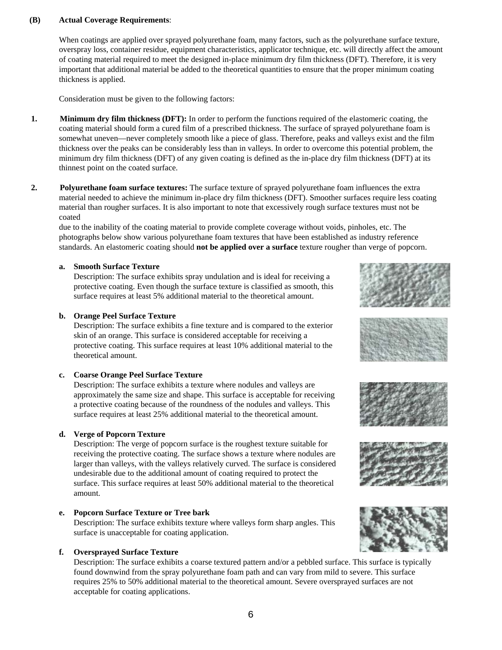#### **(B) Actual Coverage Requirements**:

 When coatings are applied over sprayed polyurethane foam, many factors, such as the polyurethane surface texture, overspray loss, container residue, equipment characteristics, applicator technique, etc. will directly affect the amount of coating material required to meet the designed in-place minimum dry film thickness (DFT). Therefore, it is very important that additional material be added to the theoretical quantities to ensure that the proper minimum coating thickness is applied.

Consideration must be given to the following factors:

- **1. Minimum dry film thickness (DFT):** In order to perform the functions required of the elastomeric coating, the coating material should form a cured film of a prescribed thickness. The surface of sprayed polyurethane foam is somewhat uneven—never completely smooth like a piece of glass. Therefore, peaks and valleys exist and the film thickness over the peaks can be considerably less than in valleys. In order to overcome this potential problem, the minimum dry film thickness (DFT) of any given coating is defined as the in-place dry film thickness (DFT) at its thinnest point on the coated surface.
- **2. Polyurethane foam surface textures:** The surface texture of sprayed polyurethane foam influences the extra material needed to achieve the minimum in-place dry film thickness (DFT). Smoother surfaces require less coating material than rougher surfaces. It is also important to note that excessively rough surface textures must not be coated

due to the inability of the coating material to provide complete coverage without voids, pinholes, etc. The photographs below show various polyurethane foam textures that have been established as industry reference standards. An elastomeric coating should **not be applied over a surface** texture rougher than verge of popcorn.

#### **a. Smooth Surface Texture**

 Description: The surface exhibits spray undulation and is ideal for receiving a protective coating. Even though the surface texture is classified as smooth, this surface requires at least 5% additional material to the theoretical amount.

#### **b. Orange Peel Surface Texture**

 Description: The surface exhibits a fine texture and is compared to the exterior skin of an orange. This surface is considered acceptable for receiving a protective coating. This surface requires at least 10% additional material to the theoretical amount.

#### **c. Coarse Orange Peel Surface Texture**

 Description: The surface exhibits a texture where nodules and valleys are approximately the same size and shape. This surface is acceptable for receiving a protective coating because of the roundness of the nodules and valleys. This surface requires at least 25% additional material to the theoretical amount.

#### **d. Verge of Popcorn Texture**

 Description: The verge of popcorn surface is the roughest texture suitable for receiving the protective coating. The surface shows a texture where nodules are larger than valleys, with the valleys relatively curved. The surface is considered undesirable due to the additional amount of coating required to protect the surface. This surface requires at least 50% additional material to the theoretical amount.

#### **e. Popcorn Surface Texture or Tree bark**

 Description: The surface exhibits texture where valleys form sharp angles. This surface is unacceptable for coating application.

#### **f. Oversprayed Surface Texture**

 Description: The surface exhibits a coarse textured pattern and/or a pebbled surface. This surface is typically found downwind from the spray polyurethane foam path and can vary from mild to severe. This surface requires 25% to 50% additional material to the theoretical amount. Severe oversprayed surfaces are not acceptable for coating applications.









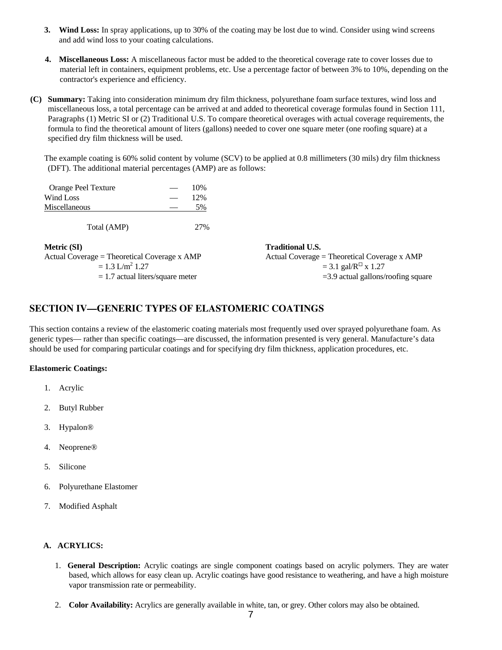- **3. Wind Loss:** In spray applications, up to 30% of the coating may be lost due to wind. Consider using wind screens and add wind loss to your coating calculations.
- **4. Miscellaneous Loss:** A miscellaneous factor must be added to the theoretical coverage rate to cover losses due to material left in containers, equipment problems, etc. Use a percentage factor of between 3% to 10%, depending on the contractor's experience and efficiency.
- **(C) Summary:** Taking into consideration minimum dry film thickness, polyurethane foam surface textures, wind loss and miscellaneous loss, a total percentage can be arrived at and added to theoretical coverage formulas found in Section 111, Paragraphs (1) Metric SI or (2) Traditional U.S. To compare theoretical overages with actual coverage requirements, the formula to find the theoretical amount of liters (gallons) needed to cover one square meter (one roofing square) at a specified dry film thickness will be used.

The example coating is 60% solid content by volume (SCV) to be applied at 0.8 millimeters (30 mils) dry film thickness (DFT). The additional material percentages (AMP) are as follows:

| Orange Peel Texture | __ | 10% |
|---------------------|----|-----|
| Wind Loss           |    | 12% |
| Miscellaneous       |    | 5%  |
| Total (AMP)         |    |     |

 $1.3$  L/m<sup>2</sup> 1.27

|  | $= 1.3$ L/III $1.21$ |                                    |
|--|----------------------|------------------------------------|
|  |                      | $= 1.7$ actual liters/square meter |

**Metric (SI)** Traditional U.S. Actual Coverage = Theoretical Coverage x AMP Actual Coverage = Theoretical Coverage x AMP  $= 3.1$  gal/ $R^{\Box}$  x 1.27  $= 3.9$  actual gallons/roofing square

## **SECTION IV—GENERIC TYPES OF ELASTOMERIC COATINGS**

This section contains a review of the elastomeric coating materials most frequently used over sprayed polyurethane foam. As generic types— rather than specific coatings—are discussed, the information presented is very general. Manufacture's data should be used for comparing particular coatings and for specifying dry film thickness, application procedures, etc.

#### **Elastomeric Coatings:**

- 1. Acrylic
- 2. Butyl Rubber
- 3. Hypalon®
- 4. Neoprene®
- 5. Silicone
- 6. Polyurethane Elastomer
- 7. Modified Asphalt

## **A. ACRYLICS:**

- 1. **General Description:** Acrylic coatings are single component coatings based on acrylic polymers. They are water based, which allows for easy clean up. Acrylic coatings have good resistance to weathering, and have a high moisture vapor transmission rate or permeability.
- 2. **Color Availability:** Acrylics are generally available in white, tan, or grey. Other colors may also be obtained.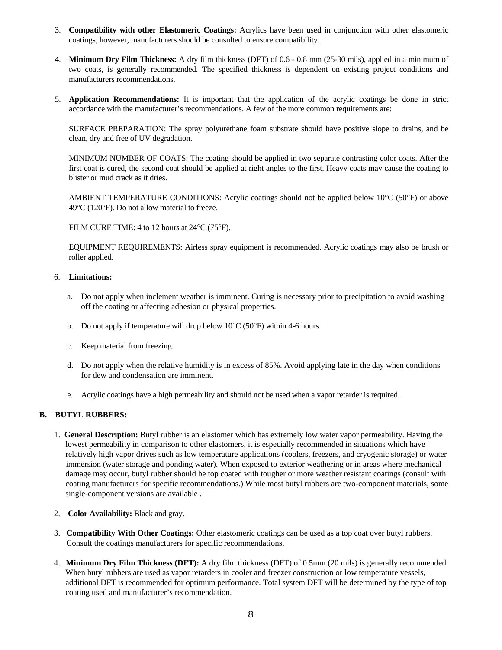- 3. **Compatibility with other Elastomeric Coatings:** Acrylics have been used in conjunction with other elastomeric coatings, however, manufacturers should be consulted to ensure compatibility.
- 4. **Minimum Dry Film Thickness:** A dry film thickness (DFT) of 0.6 0.8 mm (25-30 mils), applied in a minimum of two coats, is generally recommended. The specified thickness is dependent on existing project conditions and manufacturers recommendations.
- 5. **Application Recommendations:** It is important that the application of the acrylic coatings be done in strict accordance with the manufacturer's recommendations. A few of the more common requirements are:

 SURFACE PREPARATION: The spray polyurethane foam substrate should have positive slope to drains, and be clean, dry and free of UV degradation.

 MINIMUM NUMBER OF COATS: The coating should be applied in two separate contrasting color coats. After the first coat is cured, the second coat should be applied at right angles to the first. Heavy coats may cause the coating to blister or mud crack as it dries.

 AMBIENT TEMPERATURE CONDITIONS: Acrylic coatings should not be applied below 10°C (50°F) or above 49°C (120°F). Do not allow material to freeze.

FILM CURE TIME: 4 to 12 hours at 24°C (75°F).

 EQUIPMENT REQUIREMENTS: Airless spray equipment is recommended. Acrylic coatings may also be brush or roller applied.

#### 6. **Limitations:**

- a. Do not apply when inclement weather is imminent. Curing is necessary prior to precipitation to avoid washing off the coating or affecting adhesion or physical properties.
- b. Do not apply if temperature will drop below  $10^{\circ}$ C (50°F) within 4-6 hours.
- c. Keep material from freezing.
- d. Do not apply when the relative humidity is in excess of 85%. Avoid applying late in the day when conditions for dew and condensation are imminent.
- e. Acrylic coatings have a high permeability and should not be used when a vapor retarder is required.

#### **B. BUTYL RUBBERS:**

- 1. **General Description:** Butyl rubber is an elastomer which has extremely low water vapor permeability. Having the lowest permeability in comparison to other elastomers, it is especially recommended in situations which have relatively high vapor drives such as low temperature applications (coolers, freezers, and cryogenic storage) or water immersion (water storage and ponding water). When exposed to exterior weathering or in areas where mechanical damage may occur, butyl rubber should be top coated with tougher or more weather resistant coatings (consult with coating manufacturers for specific recommendations.) While most butyl rubbers are two-component materials, some single-component versions are available .
- 2. **Color Availability:** Black and gray.
- 3. **Compatibility With Other Coatings:** Other elastomeric coatings can be used as a top coat over butyl rubbers. Consult the coatings manufacturers for specific recommendations.
- 4. **Minimum Dry Film Thickness (DFT):** A dry film thickness (DFT) of 0.5mm (20 mils) is generally recommended. When butyl rubbers are used as vapor retarders in cooler and freezer construction or low temperature vessels, additional DFT is recommended for optimum performance. Total system DFT will be determined by the type of top coating used and manufacturer's recommendation.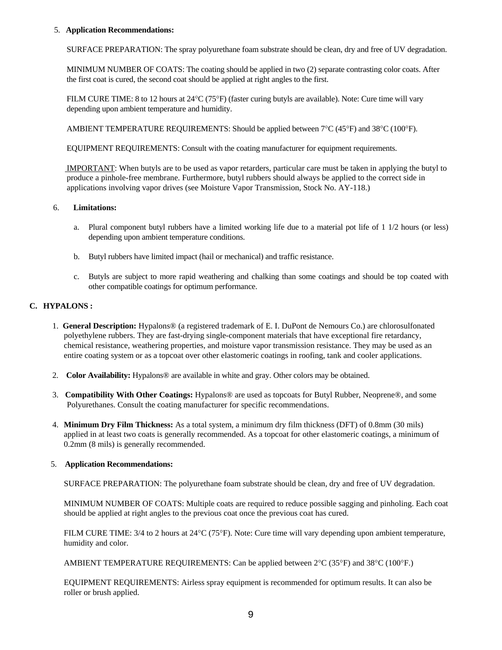#### 5. **Application Recommendations:**

SURFACE PREPARATION: The spray polyurethane foam substrate should be clean, dry and free of UV degradation.

 MINIMUM NUMBER OF COATS: The coating should be applied in two (2) separate contrasting color coats. After the first coat is cured, the second coat should be applied at right angles to the first.

 FILM CURE TIME: 8 to 12 hours at 24°C (75°F) (faster curing butyls are available). Note: Cure time will vary depending upon ambient temperature and humidity.

AMBIENT TEMPERATURE REQUIREMENTS: Should be applied between 7°C (45°F) and 38°C (100°F).

EQUIPMENT REQUIREMENTS: Consult with the coating manufacturer for equipment requirements.

 IMPORTANT: When butyls are to be used as vapor retarders, particular care must be taken in applying the butyl to produce a pinhole-free membrane. Furthermore, butyl rubbers should always be applied to the correct side in applications involving vapor drives (see Moisture Vapor Transmission, Stock No. AY-118.)

#### 6. **Limitations:**

- a. Plural component butyl rubbers have a limited working life due to a material pot life of 1 1/2 hours (or less) depending upon ambient temperature conditions.
- b. Butyl rubbers have limited impact (hail or mechanical) and traffic resistance.
- c. Butyls are subject to more rapid weathering and chalking than some coatings and should be top coated with other compatible coatings for optimum performance.

#### **C. HYPALONS :**

- 1. **General Description:** Hypalons® (a registered trademark of E. I. DuPont de Nemours Co.) are chlorosulfonated polyethylene rubbers. They are fast-drying single-component materials that have exceptional fire retardancy, chemical resistance, weathering properties, and moisture vapor transmission resistance. They may be used as an entire coating system or as a topcoat over other elastomeric coatings in roofing, tank and cooler applications.
- 2. **Color Availability:** Hypalons® are available in white and gray. Other colors may be obtained.
- 3. **Compatibility With Other Coatings:** Hypalons® are used as topcoats for Butyl Rubber, Neoprene®, and some Polyurethanes. Consult the coating manufacturer for specific recommendations.
- 4. **Minimum Dry Film Thickness:** As a total system, a minimum dry film thickness (DFT) of 0.8mm (30 mils) applied in at least two coats is generally recommended. As a topcoat for other elastomeric coatings, a minimum of 0.2mm (8 mils) is generally recommended.

#### 5. **Application Recommendations:**

SURFACE PREPARATION: The polyurethane foam substrate should be clean, dry and free of UV degradation.

MINIMUM NUMBER OF COATS: Multiple coats are required to reduce possible sagging and pinholing. Each coat should be applied at right angles to the previous coat once the previous coat has cured.

FILM CURE TIME: 3/4 to 2 hours at 24°C (75°F). Note: Cure time will vary depending upon ambient temperature, humidity and color.

AMBIENT TEMPERATURE REQUIREMENTS: Can be applied between 2°C (35°F) and 38°C (100°F.)

EQUIPMENT REQUIREMENTS: Airless spray equipment is recommended for optimum results. It can also be roller or brush applied.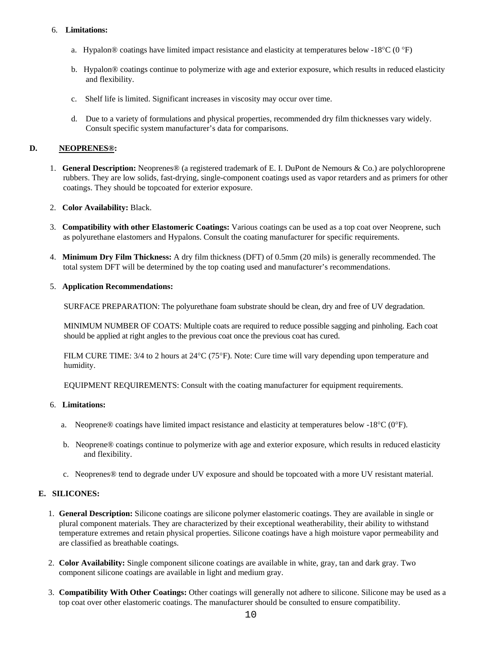#### 6. **Limitations:**

- a. Hypalon® coatings have limited impact resistance and elasticity at temperatures below -18°C (0 °F)
- b. Hypalon® coatings continue to polymerize with age and exterior exposure, which results in reduced elasticity and flexibility.
- c. Shelf life is limited. Significant increases in viscosity may occur over time.
- d. Due to a variety of formulations and physical properties, recommended dry film thicknesses vary widely. Consult specific system manufacturer's data for comparisons.

#### **D. NEOPRENES®:**

1. **General Description:** Neoprenes® (a registered trademark of E. I. DuPont de Nemours & Co.) are polychloroprene rubbers. They are low solids, fast-drying, single-component coatings used as vapor retarders and as primers for other coatings. They should be topcoated for exterior exposure.

#### 2. **Color Availability:** Black.

- 3. **Compatibility with other Elastomeric Coatings:** Various coatings can be used as a top coat over Neoprene, such as polyurethane elastomers and Hypalons. Consult the coating manufacturer for specific requirements.
- 4. **Minimum Dry Film Thickness:** A dry film thickness (DFT) of 0.5mm (20 mils) is generally recommended. The total system DFT will be determined by the top coating used and manufacturer's recommendations.

#### 5. **Application Recommendations:**

SURFACE PREPARATION: The polyurethane foam substrate should be clean, dry and free of UV degradation.

 MINIMUM NUMBER OF COATS: Multiple coats are required to reduce possible sagging and pinholing. Each coat should be applied at right angles to the previous coat once the previous coat has cured.

 FILM CURE TIME: 3/4 to 2 hours at 24°C (75°F). Note: Cure time will vary depending upon temperature and humidity.

EQUIPMENT REQUIREMENTS: Consult with the coating manufacturer for equipment requirements.

#### 6. **Limitations:**

- a. Neoprene® coatings have limited impact resistance and elasticity at temperatures below -18°C (0°F).
- b. Neoprene® coatings continue to polymerize with age and exterior exposure, which results in reduced elasticity and flexibility.
- c. Neoprenes® tend to degrade under UV exposure and should be topcoated with a more UV resistant material.

## **E. SILICONES:**

- 1. **General Description:** Silicone coatings are silicone polymer elastomeric coatings. They are available in single or plural component materials. They are characterized by their exceptional weatherability, their ability to withstand temperature extremes and retain physical properties. Silicone coatings have a high moisture vapor permeability and are classified as breathable coatings.
- 2. **Color Availability:** Single component silicone coatings are available in white, gray, tan and dark gray. Two component silicone coatings are available in light and medium gray.
- 3. **Compatibility With Other Coatings:** Other coatings will generally not adhere to silicone. Silicone may be used as a top coat over other elastomeric coatings. The manufacturer should be consulted to ensure compatibility.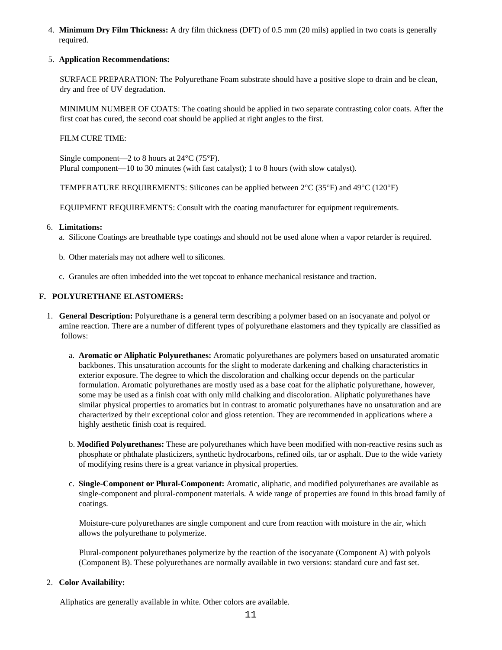4. **Minimum Dry Film Thickness:** A dry film thickness (DFT) of 0.5 mm (20 mils) applied in two coats is generally required.

#### 5. **Application Recommendations:**

SURFACE PREPARATION: The Polyurethane Foam substrate should have a positive slope to drain and be clean, dry and free of UV degradation.

MINIMUM NUMBER OF COATS: The coating should be applied in two separate contrasting color coats. After the first coat has cured, the second coat should be applied at right angles to the first.

#### FILM CURE TIME:

Single component—2 to 8 hours at 24°C (75°F). Plural component—10 to 30 minutes (with fast catalyst); 1 to 8 hours (with slow catalyst).

TEMPERATURE REQUIREMENTS: Silicones can be applied between 2°C (35°F) and 49°C (120°F)

EQUIPMENT REQUIREMENTS: Consult with the coating manufacturer for equipment requirements.

#### 6. **Limitations:**

- a. Silicone Coatings are breathable type coatings and should not be used alone when a vapor retarder is required.
- b. Other materials may not adhere well to silicones.
- c. Granules are often imbedded into the wet topcoat to enhance mechanical resistance and traction.

#### **F. POLYURETHANE ELASTOMERS:**

- 1. **General Description:** Polyurethane is a general term describing a polymer based on an isocyanate and polyol or amine reaction. There are a number of different types of polyurethane elastomers and they typically are classified as follows:
	- a. **Aromatic or Aliphatic Polyurethanes:** Aromatic polyurethanes are polymers based on unsaturated aromatic backbones. This unsaturation accounts for the slight to moderate darkening and chalking characteristics in exterior exposure. The degree to which the discoloration and chalking occur depends on the particular formulation. Aromatic polyurethanes are mostly used as a base coat for the aliphatic polyurethane, however, some may be used as a finish coat with only mild chalking and discoloration. Aliphatic polyurethanes have similar physical properties to aromatics but in contrast to aromatic polyurethanes have no unsaturation and are characterized by their exceptional color and gloss retention. They are recommended in applications where a highly aesthetic finish coat is required.
	- b. **Modified Polyurethanes:** These are polyurethanes which have been modified with non-reactive resins such as phosphate or phthalate plasticizers, synthetic hydrocarbons, refined oils, tar or asphalt. Due to the wide variety of modifying resins there is a great variance in physical properties.
	- c. **Single-Component or Plural-Component:** Aromatic, aliphatic, and modified polyurethanes are available as single-component and plural-component materials. A wide range of properties are found in this broad family of coatings.

 Moisture-cure polyurethanes are single component and cure from reaction with moisture in the air, which allows the polyurethane to polymerize.

 Plural-component polyurethanes polymerize by the reaction of the isocyanate (Component A) with polyols (Component B). These polyurethanes are normally available in two versions: standard cure and fast set.

#### 2. **Color Availability:**

Aliphatics are generally available in white. Other colors are available.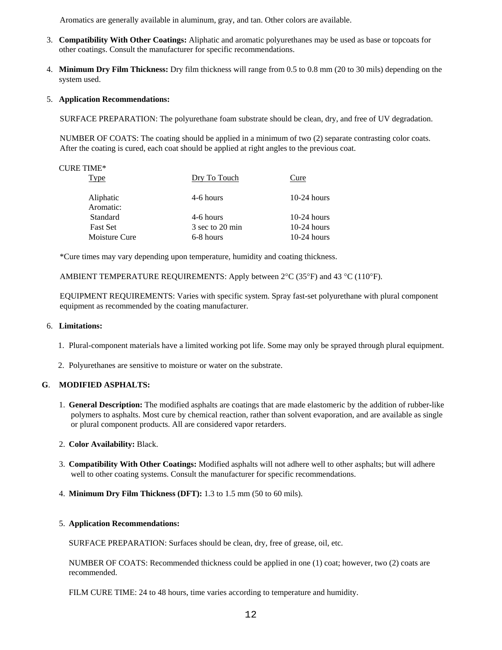Aromatics are generally available in aluminum, gray, and tan. Other colors are available.

- 3. **Compatibility With Other Coatings:** Aliphatic and aromatic polyurethanes may be used as base or topcoats for other coatings. Consult the manufacturer for specific recommendations.
- 4. **Minimum Dry Film Thickness:** Dry film thickness will range from 0.5 to 0.8 mm (20 to 30 mils) depending on the system used.

#### 5. **Application Recommendations:**

SURFACE PREPARATION: The polyurethane foam substrate should be clean, dry, and free of UV degradation.

NUMBER OF COATS: The coating should be applied in a minimum of two (2) separate contrasting color coats. After the coating is cured, each coat should be applied at right angles to the previous coat.

| <b>CURE TIME*</b> |                 |               |
|-------------------|-----------------|---------------|
| Type              | Dry To Touch    | Cure          |
|                   |                 |               |
| Aliphatic         | 4-6 hours       | $10-24$ hours |
| Aromatic:         |                 |               |
| Standard          | 4-6 hours       | $10-24$ hours |
| <b>Fast Set</b>   | 3 sec to 20 min | $10-24$ hours |
| Moisture Cure     | 6-8 hours       | $10-24$ hours |

\*Cure times may vary depending upon temperature, humidity and coating thickness.

AMBIENT TEMPERATURE REQUIREMENTS: Apply between 2°C (35°F) and 43 °C (110°F).

EQUIPMENT REQUIREMENTS: Varies with specific system. Spray fast-set polyurethane with plural component equipment as recommended by the coating manufacturer.

#### 6. **Limitations:**

- 1. Plural-component materials have a limited working pot life. Some may only be sprayed through plural equipment.
- 2. Polyurethanes are sensitive to moisture or water on the substrate.

#### **G**. **MODIFIED ASPHALTS:**

1. **General Description:** The modified asphalts are coatings that are made elastomeric by the addition of rubber-like polymers to asphalts. Most cure by chemical reaction, rather than solvent evaporation, and are available as single or plural component products. All are considered vapor retarders.

#### 2. **Color Availability:** Black.

- 3. **Compatibility With Other Coatings:** Modified asphalts will not adhere well to other asphalts; but will adhere well to other coating systems. Consult the manufacturer for specific recommendations.
- 4. **Minimum Dry Film Thickness (DFT):** 1.3 to 1.5 mm (50 to 60 mils).

#### 5. **Application Recommendations:**

SURFACE PREPARATION: Surfaces should be clean, dry, free of grease, oil, etc.

 NUMBER OF COATS: Recommended thickness could be applied in one (1) coat; however, two (2) coats are recommended.

FILM CURE TIME: 24 to 48 hours, time varies according to temperature and humidity.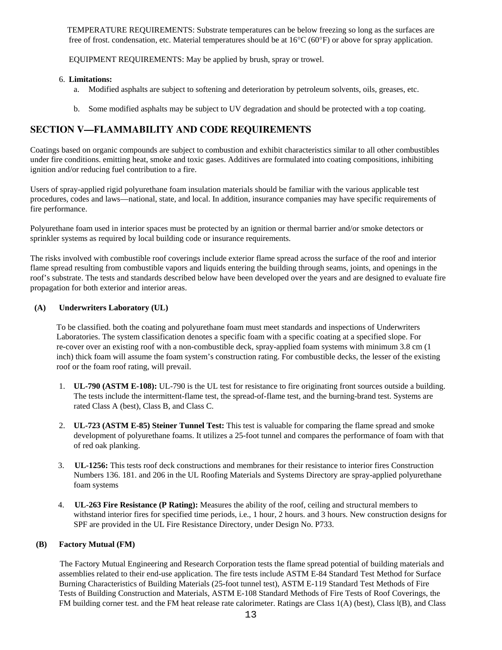TEMPERATURE REQUIREMENTS: Substrate temperatures can be below freezing so long as the surfaces are free of frost. condensation, etc. Material temperatures should be at  $16^{\circ}C(60^{\circ}F)$  or above for spray application.

EQUIPMENT REQUIREMENTS: May be applied by brush, spray or trowel.

#### 6. **Limitations:**

- a. Modified asphalts are subject to softening and deterioration by petroleum solvents, oils, greases, etc.
- b. Some modified asphalts may be subject to UV degradation and should be protected with a top coating.

## **SECTION V—FLAMMABILITY AND CODE REQUIREMENTS**

Coatings based on organic compounds are subject to combustion and exhibit characteristics similar to all other combustibles under fire conditions. emitting heat, smoke and toxic gases. Additives are formulated into coating compositions, inhibiting ignition and/or reducing fuel contribution to a fire.

Users of spray-applied rigid polyurethane foam insulation materials should be familiar with the various applicable test procedures, codes and laws—national, state, and local. In addition, insurance companies may have specific requirements of fire performance.

Polyurethane foam used in interior spaces must be protected by an ignition or thermal barrier and/or smoke detectors or sprinkler systems as required by local building code or insurance requirements.

The risks involved with combustible roof coverings include exterior flame spread across the surface of the roof and interior flame spread resulting from combustible vapors and liquids entering the building through seams, joints, and openings in the roof's substrate. The tests and standards described below have been developed over the years and are designed to evaluate fire propagation for both exterior and interior areas.

#### **(A) Underwriters Laboratory (UL)**

To be classified. both the coating and polyurethane foam must meet standards and inspections of Underwriters Laboratories. The system classification denotes a specific foam with a specific coating at a specified slope. For re-cover over an existing roof with a non-combustible deck, spray-applied foam systems with minimum 3.8 cm (1 inch) thick foam will assume the foam system's construction rating. For combustible decks, the lesser of the existing roof or the foam roof rating, will prevail.

- 1. **UL-790 (ASTM E-108):** UL-790 is the UL test for resistance to fire originating front sources outside a building. The tests include the intermittent-flame test, the spread-of-flame test, and the burning-brand test. Systems are rated Class A (best), Class B, and Class C.
- 2. **UL-723 (ASTM E-85) Steiner Tunnel Test:** This test is valuable for comparing the flame spread and smoke development of polyurethane foams. It utilizes a 25-foot tunnel and compares the performance of foam with that of red oak planking.
- 3. **UL-1256:** This tests roof deck constructions and membranes for their resistance to interior fires Construction Numbers 136. 181. and 206 in the UL Roofing Materials and Systems Directory are spray-applied polyurethane foam systems
- 4. **UL-263 Fire Resistance (P Rating):** Measures the ability of the roof, ceiling and structural members to withstand interior fires for specified time periods, i.e., 1 hour, 2 hours. and 3 hours. New construction designs for SPF are provided in the UL Fire Resistance Directory, under Design No. P733.

## **(B) Factory Mutual (FM)**

The Factory Mutual Engineering and Research Corporation tests the flame spread potential of building materials and assemblies related to their end-use application. The fire tests include ASTM E-84 Standard Test Method for Surface Burning Characteristics of Building Materials (25-foot tunnel test), ASTM E-119 Standard Test Methods of Fire Tests of Building Construction and Materials, ASTM E-108 Standard Methods of Fire Tests of Roof Coverings, the FM building corner test. and the FM heat release rate calorimeter. Ratings are Class 1(A) (best), Class l(B), and Class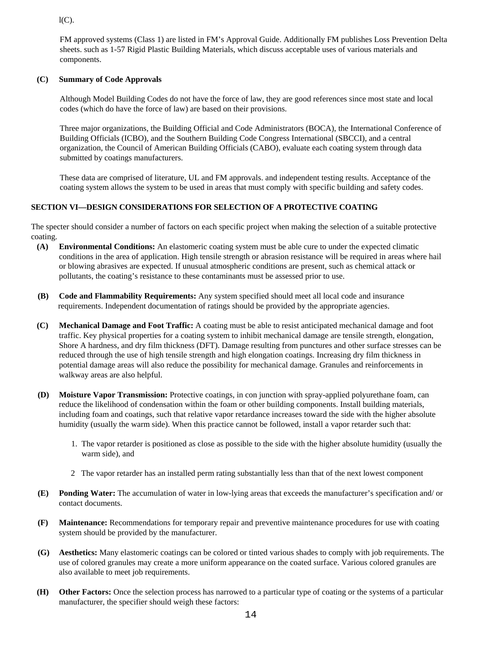$l(C)$ .

FM approved systems (Class 1) are listed in FM's Approval Guide. Additionally FM publishes Loss Prevention Delta sheets. such as 1-57 Rigid Plastic Building Materials, which discuss acceptable uses of various materials and components.

## **(C) Summary of Code Approvals**

Although Model Building Codes do not have the force of law, they are good references since most state and local codes (which do have the force of law) are based on their provisions.

Three major organizations, the Building Official and Code Administrators (BOCA), the International Conference of Building Officials (ICBO), and the Southern Building Code Congress International (SBCCI), and a central organization, the Council of American Building Officials (CABO), evaluate each coating system through data submitted by coatings manufacturers.

These data are comprised of literature, UL and FM approvals. and independent testing results. Acceptance of the coating system allows the system to be used in areas that must comply with specific building and safety codes.

## **SECTION VI—DESIGN CONSIDERATIONS FOR SELECTION OF A PROTECTIVE COATING**

The specter should consider a number of factors on each specific project when making the selection of a suitable protective coating.

- **(A) Environmental Conditions:** An elastomeric coating system must be able cure to under the expected climatic conditions in the area of application. High tensile strength or abrasion resistance will be required in areas where hail or blowing abrasives are expected. If unusual atmospheric conditions are present, such as chemical attack or pollutants, the coating's resistance to these contaminants must be assessed prior to use.
- **(B) Code and Flammability Requirements:** Any system specified should meet all local code and insurance requirements. Independent documentation of ratings should be provided by the appropriate agencies.
- **(C) Mechanical Damage and Foot Traffic:** A coating must be able to resist anticipated mechanical damage and foot traffic. Key physical properties for a coating system to inhibit mechanical damage are tensile strength, elongation, Shore A hardness, and dry film thickness (DFT). Damage resulting from punctures and other surface stresses can be reduced through the use of high tensile strength and high elongation coatings. Increasing dry film thickness in potential damage areas will also reduce the possibility for mechanical damage. Granules and reinforcements in walkway areas are also helpful.
- **(D) Moisture Vapor Transmission:** Protective coatings, in con junction with spray-applied polyurethane foam, can reduce the likelihood of condensation within the foam or other building components. Install building materials, including foam and coatings, such that relative vapor retardance increases toward the side with the higher absolute humidity (usually the warm side). When this practice cannot be followed, install a vapor retarder such that:
	- 1. The vapor retarder is positioned as close as possible to the side with the higher absolute humidity (usually the warm side), and
	- 2 The vapor retarder has an installed perm rating substantially less than that of the next lowest component
- **(E) Ponding Water:** The accumulation of water in low-lying areas that exceeds the manufacturer's specification and/ or contact documents.
- **(F) Maintenance:** Recommendations for temporary repair and preventive maintenance procedures for use with coating system should be provided by the manufacturer.
- **(G) Aesthetics:** Many elastomeric coatings can be colored or tinted various shades to comply with job requirements. The use of colored granules may create a more uniform appearance on the coated surface. Various colored granules are also available to meet job requirements.
- **(H) Other Factors:** Once the selection process has narrowed to a particular type of coating or the systems of a particular manufacturer, the specifier should weigh these factors: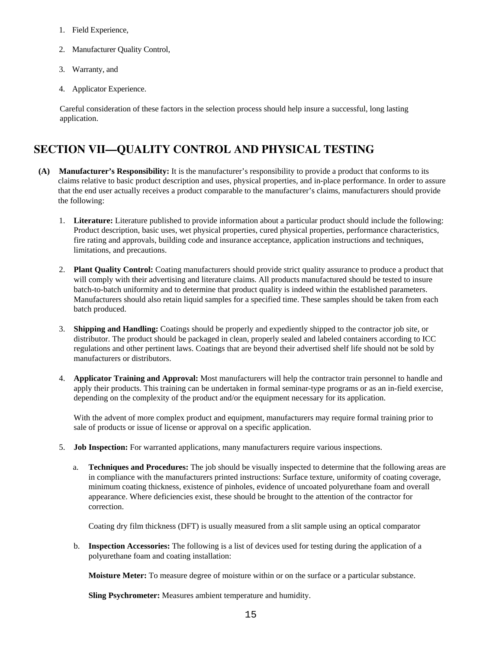- 1. Field Experience,
- 2. Manufacturer Quality Control,
- 3. Warranty, and
- 4. Applicator Experience.

Careful consideration of these factors in the selection process should help insure a successful, long lasting application.

## **SECTION VII—QUALITY CONTROL AND PHYSICAL TESTING**

- **(A) Manufacturer's Responsibility:** It is the manufacturer's responsibility to provide a product that conforms to its claims relative to basic product description and uses, physical properties, and in-place performance. In order to assure that the end user actually receives a product comparable to the manufacturer's claims, manufacturers should provide the following:
	- 1. **Literature:** Literature published to provide information about a particular product should include the following: Product description, basic uses, wet physical properties, cured physical properties, performance characteristics, fire rating and approvals, building code and insurance acceptance, application instructions and techniques, limitations, and precautions.
	- 2. **Plant Quality Control:** Coating manufacturers should provide strict quality assurance to produce a product that will comply with their advertising and literature claims. All products manufactured should be tested to insure batch-to-batch uniformity and to determine that product quality is indeed within the established parameters. Manufacturers should also retain liquid samples for a specified time. These samples should be taken from each batch produced.
	- 3. **Shipping and Handling:** Coatings should be properly and expediently shipped to the contractor job site, or distributor. The product should be packaged in clean, properly sealed and labeled containers according to ICC regulations and other pertinent laws. Coatings that are beyond their advertised shelf life should not be sold by manufacturers or distributors.
	- 4. **Applicator Training and Approval:** Most manufacturers will help the contractor train personnel to handle and apply their products. This training can be undertaken in formal seminar-type programs or as an in-field exercise, depending on the complexity of the product and/or the equipment necessary for its application.

With the advent of more complex product and equipment, manufacturers may require formal training prior to sale of products or issue of license or approval on a specific application.

- 5. **Job Inspection:** For warranted applications, many manufacturers require various inspections.
	- a. **Techniques and Procedures:** The job should be visually inspected to determine that the following areas are in compliance with the manufacturers printed instructions: Surface texture, uniformity of coating coverage, minimum coating thickness, existence of pinholes, evidence of uncoated polyurethane foam and overall appearance. Where deficiencies exist, these should be brought to the attention of the contractor for correction.

Coating dry film thickness (DFT) is usually measured from a slit sample using an optical comparator

 b. **Inspection Accessories:** The following is a list of devices used for testing during the application of a polyurethane foam and coating installation:

 **Moisture Meter:** To measure degree of moisture within or on the surface or a particular substance.

 **Sling Psychrometer:** Measures ambient temperature and humidity.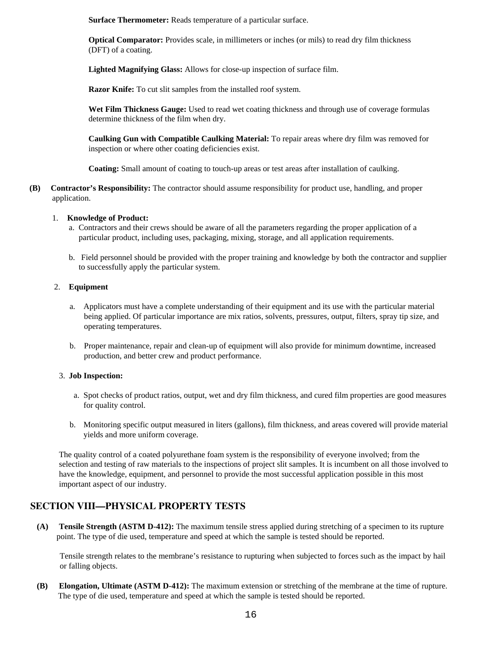**Surface Thermometer:** Reads temperature of a particular surface.

 **Optical Comparator:** Provides scale, in millimeters or inches (or mils) to read dry film thickness (DFT) of a coating.

 **Lighted Magnifying Glass:** Allows for close-up inspection of surface film.

 **Razor Knife:** To cut slit samples from the installed roof system.

 **Wet Film Thickness Gauge:** Used to read wet coating thickness and through use of coverage formulas determine thickness of the film when dry.

 **Caulking Gun with Compatible Caulking Material:** To repair areas where dry film was removed for inspection or where other coating deficiencies exist.

 **Coating:** Small amount of coating to touch-up areas or test areas after installation of caulking.

**(B) Contractor's Responsibility:** The contractor should assume responsibility for product use, handling, and proper application.

#### 1. **Knowledge of Product:**

- a. Contractors and their crews should be aware of all the parameters regarding the proper application of a particular product, including uses, packaging, mixing, storage, and all application requirements.
- b. Field personnel should be provided with the proper training and knowledge by both the contractor and supplier to successfully apply the particular system.

#### 2. **Equipment**

- a. Applicators must have a complete understanding of their equipment and its use with the particular material being applied. Of particular importance are mix ratios, solvents, pressures, output, filters, spray tip size, and operating temperatures.
- b. Proper maintenance, repair and clean-up of equipment will also provide for minimum downtime, increased production, and better crew and product performance.

#### 3. **Job Inspection:**

- a. Spot checks of product ratios, output, wet and dry film thickness, and cured film properties are good measures for quality control.
- b. Monitoring specific output measured in liters (gallons), film thickness, and areas covered will provide material yields and more uniform coverage.

The quality control of a coated polyurethane foam system is the responsibility of everyone involved; from the selection and testing of raw materials to the inspections of project slit samples. It is incumbent on all those involved to have the knowledge, equipment, and personnel to provide the most successful application possible in this most important aspect of our industry.

## **SECTION VIII—PHYSICAL PROPERTY TESTS**

**(A) Tensile Strength (ASTM D-412):** The maximum tensile stress applied during stretching of a specimen to its rupture point. The type of die used, temperature and speed at which the sample is tested should be reported.

Tensile strength relates to the membrane's resistance to rupturing when subjected to forces such as the impact by hail or falling objects.

**(B) Elongation, Ultimate (ASTM D-412):** The maximum extension or stretching of the membrane at the time of rupture. The type of die used, temperature and speed at which the sample is tested should be reported.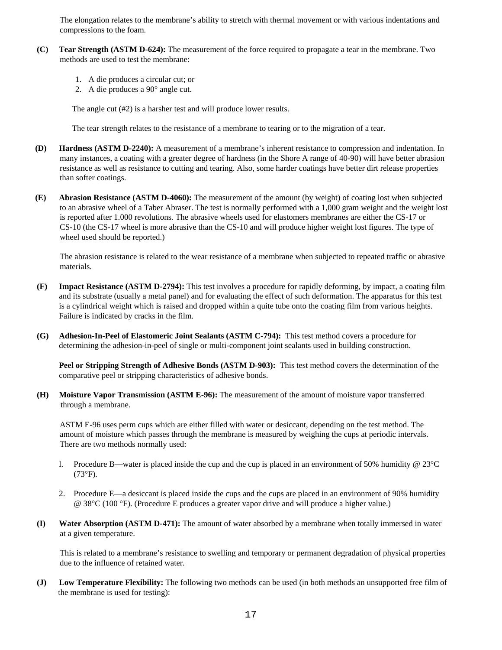The elongation relates to the membrane's ability to stretch with thermal movement or with various indentations and compressions to the foam.

- **(C) Tear Strength (ASTM D-624):** The measurement of the force required to propagate a tear in the membrane. Two methods are used to test the membrane:
	- 1. A die produces a circular cut; or
	- 2. A die produces a 90° angle cut.

The angle cut (#2) is a harsher test and will produce lower results.

The tear strength relates to the resistance of a membrane to tearing or to the migration of a tear.

- **(D) Hardness (ASTM D-2240):** A measurement of a membrane's inherent resistance to compression and indentation. In many instances, a coating with a greater degree of hardness (in the Shore A range of 40-90) will have better abrasion resistance as well as resistance to cutting and tearing. Also, some harder coatings have better dirt release properties than softer coatings.
- **(E) Abrasion Resistance (ASTM D-4060):** The measurement of the amount (by weight) of coating lost when subjected to an abrasive wheel of a Taber Abraser. The test is normally performed with a 1,000 gram weight and the weight lost is reported after 1.000 revolutions. The abrasive wheels used for elastomers membranes are either the CS-17 or CS-10 (the CS-17 wheel is more abrasive than the CS-10 and will produce higher weight lost figures. The type of wheel used should be reported.)

The abrasion resistance is related to the wear resistance of a membrane when subjected to repeated traffic or abrasive materials.

- **(F) Impact Resistance (ASTM D-2794):** This test involves a procedure for rapidly deforming, by impact, a coating film and its substrate (usually a metal panel) and for evaluating the effect of such deformation. The apparatus for this test is a cylindrical weight which is raised and dropped within a quite tube onto the coating film from various heights. Failure is indicated by cracks in the film.
- **(G) Adhesion-In-Peel of Elastomeric Joint Sealants (ASTM C-794):** This test method covers a procedure for determining the adhesion-in-peel of single or multi-component joint sealants used in building construction.

 **Peel or Stripping Strength of Adhesive Bonds (ASTM D-903):** This test method covers the determination of the comparative peel or stripping characteristics of adhesive bonds.

**(H) Moisture Vapor Transmission (ASTM E-96):** The measurement of the amount of moisture vapor transferred through a membrane.

ASTM E-96 uses perm cups which are either filled with water or desiccant, depending on the test method. The amount of moisture which passes through the membrane is measured by weighing the cups at periodic intervals. There are two methods normally used:

- l. Procedure B—water is placed inside the cup and the cup is placed in an environment of 50% humidity @ 23°C (73°F).
- 2. Procedure E—a desiccant is placed inside the cups and the cups are placed in an environment of 90% humidity @ 38°C (100 °F). (Procedure E produces a greater vapor drive and will produce a higher value.)
- **(I) Water Absorption (ASTM D-471):** The amount of water absorbed by a membrane when totally immersed in water at a given temperature.

This is related to a membrane's resistance to swelling and temporary or permanent degradation of physical properties due to the influence of retained water.

**(J) Low Temperature Flexibility:** The following two methods can be used (in both methods an unsupported free film of the membrane is used for testing):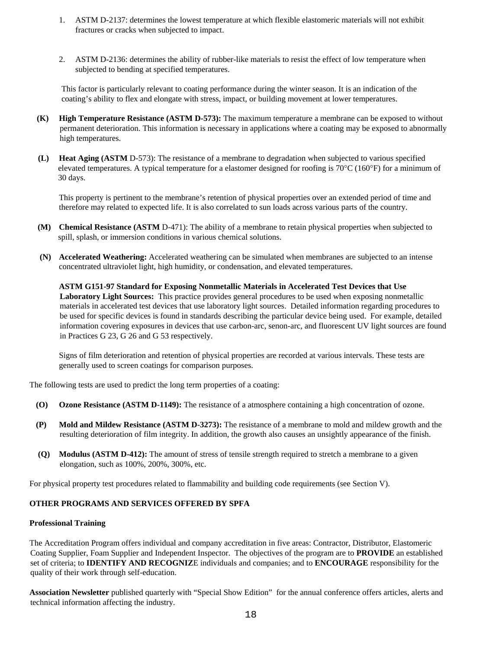- 1. ASTM D-2137: determines the lowest temperature at which flexible elastomeric materials will not exhibit fractures or cracks when subjected to impact.
- 2. ASTM D-2136: determines the ability of rubber-like materials to resist the effect of low temperature when subjected to bending at specified temperatures.

This factor is particularly relevant to coating performance during the winter season. It is an indication of the coating's ability to flex and elongate with stress, impact, or building movement at lower temperatures.

- **(K) High Temperature Resistance (ASTM D-573):** The maximum temperature a membrane can be exposed to without permanent deterioration. This information is necessary in applications where a coating may be exposed to abnormally high temperatures.
- **(L) Heat Aging (ASTM** D-573): The resistance of a membrane to degradation when subjected to various specified elevated temperatures. A typical temperature for a elastomer designed for roofing is  $70^{\circ}$ C (160°F) for a minimum of 30 days.

This property is pertinent to the membrane's retention of physical properties over an extended period of time and therefore may related to expected life. It is also correlated to sun loads across various parts of the country.

- **(M) Chemical Resistance (ASTM** D-471): The ability of a membrane to retain physical properties when subjected to spill, splash, or immersion conditions in various chemical solutions.
- **(N) Accelerated Weathering:** Accelerated weathering can be simulated when membranes are subjected to an intense concentrated ultraviolet light, high humidity, or condensation, and elevated temperatures.

**ASTM G151-97 Standard for Exposing Nonmetallic Materials in Accelerated Test Devices that Use Laboratory Light Sources:** This practice provides general procedures to be used when exposing nonmetallic materials in accelerated test devices that use laboratory light sources. Detailed information regarding procedures to be used for specific devices is found in standards describing the particular device being used. For example, detailed information covering exposures in devices that use carbon-arc, senon-arc, and fluorescent UV light sources are found in Practices G 23, G 26 and G 53 respectively.

Signs of film deterioration and retention of physical properties are recorded at various intervals. These tests are generally used to screen coatings for comparison purposes.

The following tests are used to predict the long term properties of a coating:

- **(O) Ozone Resistance (ASTM D-1149):** The resistance of a atmosphere containing a high concentration of ozone.
- **(P) Mold and Mildew Resistance (ASTM D-3273):** The resistance of a membrane to mold and mildew growth and the resulting deterioration of film integrity. In addition, the growth also causes an unsightly appearance of the finish.
- **(Q) Modulus (ASTM D-412):** The amount of stress of tensile strength required to stretch a membrane to a given elongation, such as 100%, 200%, 300%, etc.

For physical property test procedures related to flammability and building code requirements (see Section V).

#### **OTHER PROGRAMS AND SERVICES OFFERED BY SPFA**

#### **Professional Training**

The Accreditation Program offers individual and company accreditation in five areas: Contractor, Distributor, Elastomeric Coating Supplier, Foam Supplier and Independent Inspector. The objectives of the program are to **PROVIDE** an established set of criteria; to **IDENTIFY AND RECOGNIZ**E individuals and companies; and to **ENCOURAGE** responsibility for the quality of their work through self-education.

**Association Newsletter** published quarterly with "Special Show Edition" for the annual conference offers articles, alerts and technical information affecting the industry.